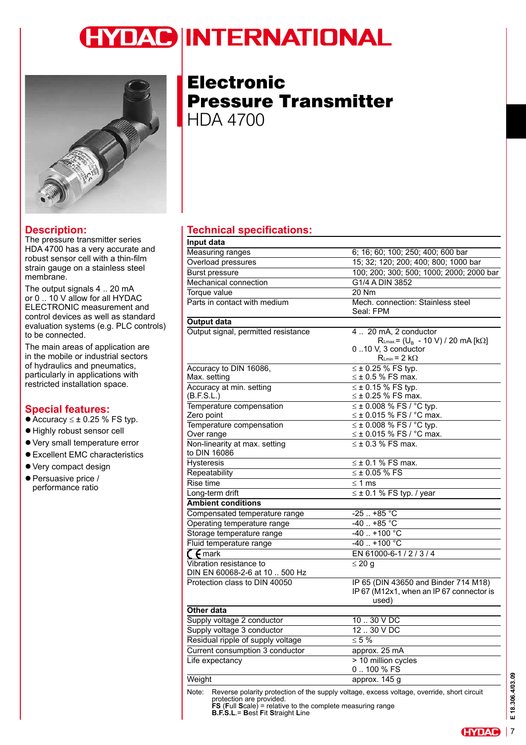## **YDAC INTERNATIONAL**



#### **Description:**

The pressure transmitter series HDA 4700 has a very accurate and robust sensor cell with a thin-film strain gauge on a stainless steel membrane.

The output signals 4 .. 20 mA or 0 .. 10 V allow for all HYDAC ELECTRONIC measurement and control devices as well as standard evaluation systems (e.g. PLC controls) to be connected.

The main areas of application are in the mobile or industrial sectors of hydraulics and pneumatics, particularly in applications with restricted installation space.

#### **Special features:**

- Accuracy  $\leq \pm 0.25$  % FS typ.
- $\bullet$  Highly robust sensor cell
- Very small temperature error
- Excellent EMC characteristics
- Very compact design
- $\bullet$  Persuasive price / performance ratio

**Electronic** Pressure Transmitter HDA 4700

### *<u>Technical specifications:</u>*

| Input data                                                                                                                                                                                                                                 |                                                                                                                      |  |
|--------------------------------------------------------------------------------------------------------------------------------------------------------------------------------------------------------------------------------------------|----------------------------------------------------------------------------------------------------------------------|--|
| Measuring ranges                                                                                                                                                                                                                           | 6; 16; 60; 100; 250; 400; 600 bar                                                                                    |  |
| Overload pressures                                                                                                                                                                                                                         | 15; 32; 120; 200; 400; 800; 1000 bar                                                                                 |  |
| <b>Burst pressure</b>                                                                                                                                                                                                                      | 100; 200; 300; 500; 1000; 2000; 2000 bar                                                                             |  |
| Mechanical connection                                                                                                                                                                                                                      | G1/4 A DIN 3852                                                                                                      |  |
| Torque value                                                                                                                                                                                                                               | 20 Nm                                                                                                                |  |
| Parts in contact with medium                                                                                                                                                                                                               | Mech. connection: Stainless steel<br>Seal: FPM                                                                       |  |
| <b>Output data</b>                                                                                                                                                                                                                         |                                                                                                                      |  |
| Output signal, permitted resistance                                                                                                                                                                                                        | 4  20 mA, 2 conductor<br>$R_{Lmax} = (U_B - 10 V) / 20 mA [k\Omega]$<br>010 V, 3 conductor<br>$R_{Lmin} = 2 k\Omega$ |  |
| Accuracy to DIN 16086,<br>Max. setting                                                                                                                                                                                                     | ≤ ± 0.25 % FS typ.<br>$\leq \pm 0.5$ % FS max.                                                                       |  |
| Accuracy at min. setting<br>(B.F.S.L.)                                                                                                                                                                                                     | $\leq \pm 0.15$ % FS typ.<br>$\leq$ ± 0.25 % FS max.                                                                 |  |
| Temperature compensation<br>Zero point                                                                                                                                                                                                     | $\leq \pm 0.008$ % FS / °C typ.<br>$\leq$ ± 0.015 % FS / °C max.                                                     |  |
| Temperature compensation<br>Over range                                                                                                                                                                                                     | $\leq \pm 0.008$ % FS / °C typ.<br>$\leq$ ± 0.015 % FS / °C max.                                                     |  |
| Non-linearity at max. setting<br>to DIN 16086                                                                                                                                                                                              | $\leq$ ± 0.3 % FS max.                                                                                               |  |
| <b>Hysteresis</b>                                                                                                                                                                                                                          | $\leq \pm 0.1$ % FS max.                                                                                             |  |
| Repeatability                                                                                                                                                                                                                              | $\leq$ ± 0.05 % FS                                                                                                   |  |
| Rise time                                                                                                                                                                                                                                  | $\leq 1$ ms                                                                                                          |  |
| Long-term drift                                                                                                                                                                                                                            | $\leq \pm 0.1$ % FS typ. / year                                                                                      |  |
| <b>Ambient conditions</b>                                                                                                                                                                                                                  |                                                                                                                      |  |
| Compensated temperature range                                                                                                                                                                                                              | $-25.1 + 85$ °C                                                                                                      |  |
| Operating temperature range                                                                                                                                                                                                                | $-40$ +85 °C                                                                                                         |  |
| Storage temperature range                                                                                                                                                                                                                  | $-40.1 + 100$ °C                                                                                                     |  |
| Fluid temperature range                                                                                                                                                                                                                    | $-40$ $+100$ °C                                                                                                      |  |
| $\zeta$ $\zeta$ mark                                                                                                                                                                                                                       | EN 61000-6-1/2/3/4                                                                                                   |  |
| Vibration resistance to<br>DIN EN 60068-2-6 at 10  500 Hz                                                                                                                                                                                  | $\leq 20$ g                                                                                                          |  |
| Protection class to DIN 40050                                                                                                                                                                                                              | IP 65 (DIN 43650 and Binder 714 M18)<br>IP 67 (M12x1, when an IP 67 connector is<br>used)                            |  |
| <b>Other data</b>                                                                                                                                                                                                                          |                                                                                                                      |  |
| Supply voltage 2 conductor                                                                                                                                                                                                                 | $1030$ V DC                                                                                                          |  |
| Supply voltage 3 conductor                                                                                                                                                                                                                 | 12.30VDC                                                                                                             |  |
| Residual ripple of supply voltage                                                                                                                                                                                                          | $\leq 5\%$                                                                                                           |  |
| Current consumption 3 conductor                                                                                                                                                                                                            | approx. 25 mA                                                                                                        |  |
| Life expectancy                                                                                                                                                                                                                            | > 10 million cycles<br>0100 % FS                                                                                     |  |
| Weight                                                                                                                                                                                                                                     | approx. 145 g                                                                                                        |  |
| Reverse polarity protection of the supply voltage, excess voltage, override, short circuit<br>Note:<br>protection are provided.<br>$FS$ (Full Scale) = relative to the complete measuring range<br><b>B.F.S.L.= Best Fit Straight Line</b> |                                                                                                                      |  |

€ 18.306.4/03.09 **E 18.306.4/03.09**